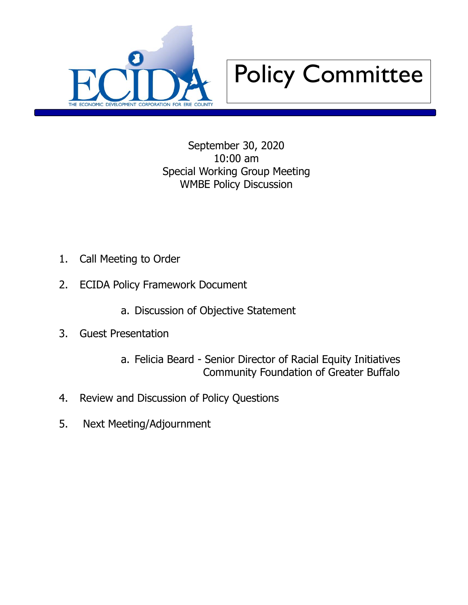



September 30, 2020 10:00 am Special Working Group Meeting WMBE Policy Discussion

- 1. Call Meeting to Order
- 2. ECIDA Policy Framework Document
	- a. Discussion of Objective Statement
- 3. Guest Presentation
	- a. Felicia Beard Senior Director of Racial Equity Initiatives Community Foundation of Greater Buffalo
- 4. Review and Discussion of Policy Questions
- 5. Next Meeting/Adjournment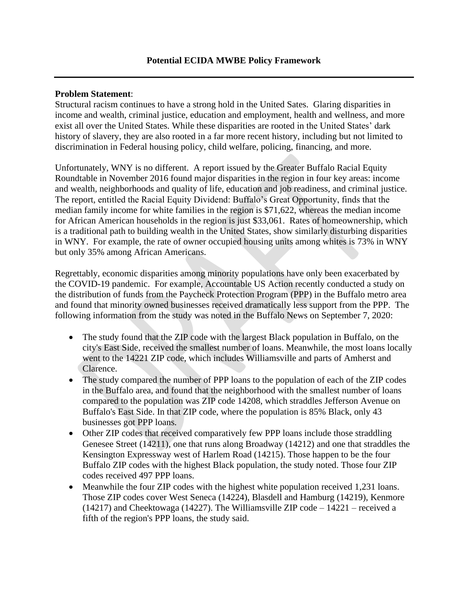#### **Problem Statement**:

Structural racism continues to have a strong hold in the United Sates. Glaring disparities in income and wealth, criminal justice, education and employment, health and wellness, and more exist all over the United States. While these disparities are rooted in the United States' dark history of slavery, they are also rooted in a far more recent history, including but not limited to discrimination in Federal housing policy, child welfare, policing, financing, and more.

Unfortunately, WNY is no different. A report issued by the Greater Buffalo Racial Equity Roundtable in November 2016 found major disparities in the region in four key areas: income and wealth, neighborhoods and quality of life, education and job readiness, and criminal justice. The report, entitled the Racial Equity Dividend: Buffalo's Great Opportunity, finds that the median family income for white families in the region is \$71,622, whereas the median income for African American households in the region is just \$33,061. Rates of homeownership, which is a traditional path to building wealth in the United States, show similarly disturbing disparities in WNY. For example, the rate of owner occupied housing units among whites is 73% in WNY but only 35% among African Americans.

Regrettably, economic disparities among minority populations have only been exacerbated by the COVID-19 pandemic. For example, Accountable US Action recently conducted a study on the distribution of funds from the Paycheck Protection Program (PPP) in the Buffalo metro area and found that minority owned businesses received dramatically less support from the PPP. The following information from the study was noted in the Buffalo News on September 7, 2020:

- The study found that the ZIP code with the largest Black population in Buffalo, on the city's East Side, received the smallest number of loans. Meanwhile, the most loans locally went to the 14221 ZIP code, which includes Williamsville and parts of Amherst and Clarence.
- The study compared the number of PPP loans to the population of each of the ZIP codes in the Buffalo area, and found that the neighborhood with the smallest number of loans compared to the population was ZIP code 14208, which straddles Jefferson Avenue on Buffalo's East Side. In that ZIP code, where the population is 85% Black, only 43 businesses got PPP loans.
- Other ZIP codes that received comparatively few PPP loans include those straddling Genesee Street (14211), one that runs along Broadway (14212) and one that straddles the Kensington Expressway west of Harlem Road (14215). Those happen to be the four Buffalo ZIP codes with the highest Black population, the study noted. Those four ZIP codes received 497 PPP loans.
- Meanwhile the four ZIP codes with the highest white population received 1,231 loans. Those ZIP codes cover West Seneca (14224), Blasdell and Hamburg (14219), Kenmore (14217) and Cheektowaga (14227). The Williamsville ZIP code – 14221 – received a fifth of the region's PPP loans, the study said.